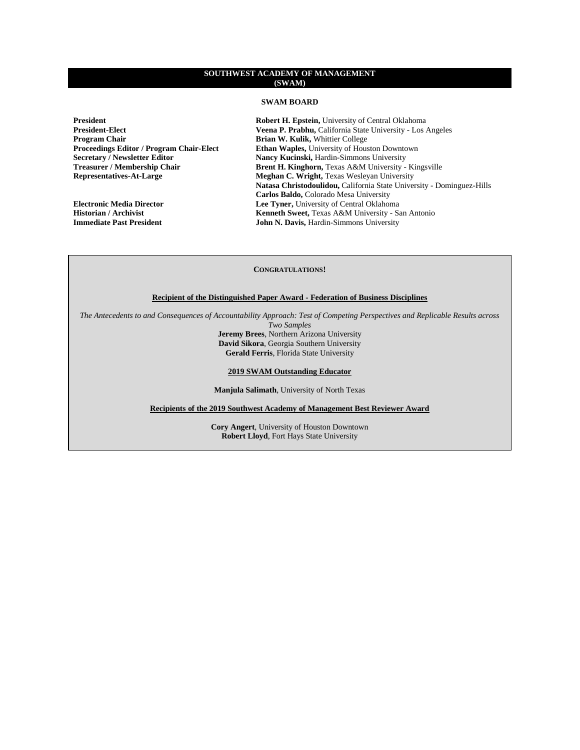# **SWAM BOARD**

**Program Chair Brian W. Kulik,** Whittier College **Proceedings Editor / Program Chair-Elect Ethan Waples**, University of Hous

**President**<br>**Robert H. Epstein,** University of Central Oklahoma<br>**President-Elect**<br>**Robert H. Epstein,** University of Central Oklahoma<br>**President-Elect** Veena P. Prabhu, California State University - Los Angeles **Proceedings Editor / Program Chair-Elect Ethan Waples, University of Houston Downtown Secretary / Newsletter Editor Mancy Kucinski, Hardin-Simmons University Secretary / Newsletter Editor Mancy Kucinski,** Hardin-Simmons University<br> **Treasurer / Membership Chair Brent H. Kinghorn,** Texas A&M University -**Treasurer / Membership Chair Brent H. Kinghorn, Texas A&M University - Kingsville Representatives-At-Large Meghan C. Wright, Texas Wesleyan University Meghan C. Wright, Texas Wesleyan University Natasa Christodoulidou,** California State University - Dominguez-Hills **Carlos Baldo,** Colorado Mesa University **Electronic Media Director Lee Tyner,** University of Central Oklahoma<br> **Historian / Archivist Lee Tynes Renneth Sweet**, Texas A&M University - Santa Central Oklahoma **Historian / Archivist Kenneth Sweet,** Texas A&M University - San Antonio<br> **Immediate Past President Kenneth Sweet, Texas A&M University John N. Davis, Hardin-Simmons University** 

### **CONGRATULATIONS!**

# **Recipient of the Distinguished Paper Award - Federation of Business Disciplines**

*The Antecedents to and Consequences of Accountability Approach: Test of Competing Perspectives and Replicable Results across* 

*Two Samples* **Jeremy Brees**, Northern Arizona University **David Sikora**, Georgia Southern University **Gerald Ferris**, Florida State University

#### **2019 SWAM Outstanding Educator**

**Manjula Salimath**, University of North Texas

**Recipients of the 2019 Southwest Academy of Management Best Reviewer Award**

**Cory Angert**, University of Houston Downtown **Robert Lloyd**, Fort Hays State University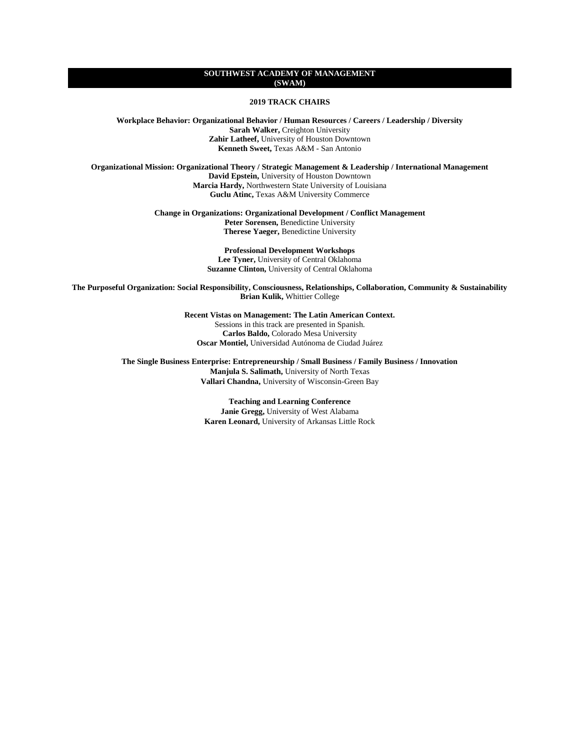**2019 TRACK CHAIRS**

**Workplace Behavior: Organizational Behavior / Human Resources / Careers / Leadership / Diversity Sarah Walker,** Creighton University **Zahir Latheef,** University of Houston Downtown **Kenneth Sweet,** Texas A&M - San Antonio

**Organizational Mission: Organizational Theory / Strategic Management & Leadership / International Management David Epstein,** University of Houston Downtown **Marcia Hardy,** Northwestern State University of Louisiana **Guclu Atinc,** Texas A&M University Commerce

> **Change in Organizations: Organizational Development / Conflict Management Peter Sorensen,** Benedictine University **Therese Yaeger,** Benedictine University

> > **Professional Development Workshops Lee Tyner,** University of Central Oklahoma **Suzanne Clinton,** University of Central Oklahoma

**The Purposeful Organization: Social Responsibility, Consciousness, Relationships, Collaboration, Community & Sustainability Brian Kulik,** Whittier College

**Recent Vistas on Management: The Latin American Context.**

Sessions in this track are presented in Spanish. **Carlos Baldo,** Colorado Mesa University **Oscar Montiel,** Universidad Autónoma de Ciudad Juárez

**The Single Business Enterprise: Entrepreneurship / Small Business / Family Business / Innovation Manjula S. Salimath,** University of North Texas **Vallari Chandna,** University of Wisconsin-Green Bay

> **Teaching and Learning Conference Janie Gregg,** University of West Alabama **Karen Leonard,** University of Arkansas Little Rock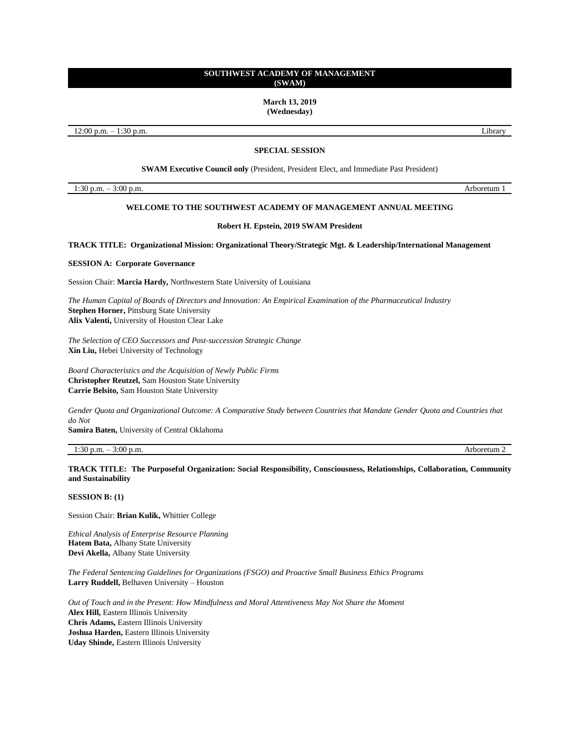**March 13, 2019 (Wednesday)**

12:00 p.m. – 1:30 p.m. Library

# **SPECIAL SESSION**

**SWAM Executive Council only** (President, President Elect, and Immediate Past President)

1:30 p.m. – 3:00 p.m. Arboretum 1

# **WELCOME TO THE SOUTHWEST ACADEMY OF MANAGEMENT ANNUAL MEETING**

#### **Robert H. Epstein, 2019 SWAM President**

**TRACK TITLE: Organizational Mission: Organizational Theory/Strategic Mgt. & Leadership/International Management**

**SESSION A: Corporate Governance** 

Session Chair: **Marcia Hardy,** Northwestern State University of Louisiana

*The Human Capital of Boards of Directors and Innovation: An Empirical Examination of the Pharmaceutical Industry* **Stephen Horner,** Pittsburg State University **Alix Valenti,** University of Houston Clear Lake

*The Selection of CEO Successors and Post-succession Strategic Change* **Xin Liu,** Hebei University of Technology

*Board Characteristics and the Acquisition of Newly Public Firms* **Christopher Reutzel,** Sam Houston State University **Carrie Belsito,** Sam Houston State University

*Gender Quota and Organizational Outcome: A Comparative Study between Countries that Mandate Gender Quota and Countries that do Not*

**Samira Baten,** University of Central Oklahoma

1:30 p.m. – 3:00 p.m. Arboretum 2

**TRACK TITLE: The Purposeful Organization: Social Responsibility, Consciousness, Relationships, Collaboration, Community and Sustainability**

**SESSION B: (1)**

Session Chair: **Brian Kulik,** Whittier College

*Ethical Analysis of Enterprise Resource Planning* **Hatem Bata,** Albany State University **Devi Akella,** Albany State University

*The Federal Sentencing Guidelines for Organizations (FSGO) and Proactive Small Business Ethics Programs* **Larry Ruddell,** Belhaven University – Houston

*Out of Touch and in the Present: How Mindfulness and Moral Attentiveness May Not Share the Moment* **Alex Hill,** Eastern Illinois University **Chris Adams,** Eastern Illinois University **Joshua Harden,** Eastern Illinois University **Uday Shinde,** Eastern Illinois University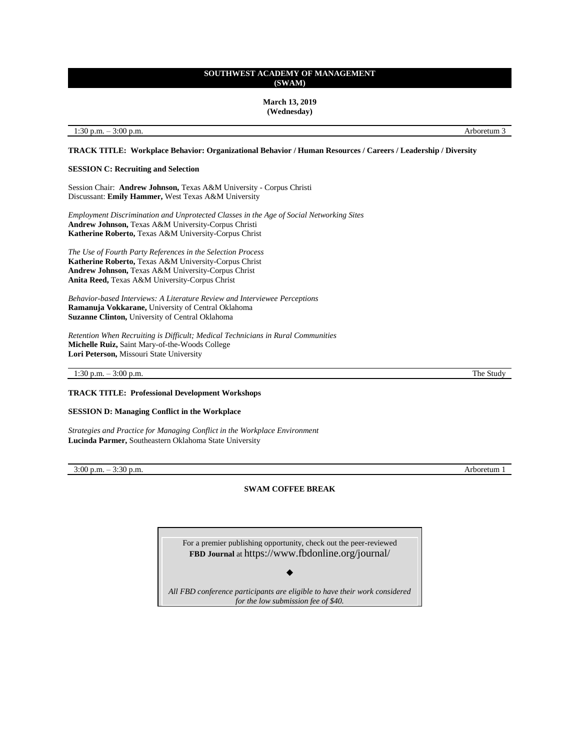**March 13, 2019 (Wednesday)**

### 1:30 p.m. – 3:00 p.m. Arboretum 3

# **TRACK TITLE: Workplace Behavior: Organizational Behavior / Human Resources / Careers / Leadership / Diversity**

#### **SESSION C: Recruiting and Selection**

Session Chair: **Andrew Johnson,** Texas A&M University - Corpus Christi Discussant: **Emily Hammer,** West Texas A&M University

*Employment Discrimination and Unprotected Classes in the Age of Social Networking Sites* **Andrew Johnson,** Texas A&M University-Corpus Christi **Katherine Roberto,** Texas A&M University-Corpus Christ

*The Use of Fourth Party References in the Selection Process*  **Katherine Roberto,** Texas A&M University-Corpus Christ **Andrew Johnson,** Texas A&M University-Corpus Christ **Anita Reed,** Texas A&M University-Corpus Christ

*Behavior-based Interviews: A Literature Review and Interviewee Perceptions* **Ramanuja Vokkarane,** University of Central Oklahoma **Suzanne Clinton,** University of Central Oklahoma

*Retention When Recruiting is Difficult; Medical Technicians in Rural Communities*  **Michelle Ruiz,** Saint Mary-of-the-Woods College **Lori Peterson,** Missouri State University

1:30 p.m. – 3:00 p.m. The Study

#### **TRACK TITLE: Professional Development Workshops**

**SESSION D: Managing Conflict in the Workplace** 

*Strategies and Practice for Managing Conflict in the Workplace Environment*  **Lucinda Parmer,** Southeastern Oklahoma State University

3:00 p.m. – 3:30 p.m. Arboretum 1

**SWAM COFFEE BREAK**

For a premier publishing opportunity, check out the peer-reviewed **FBD Journal** at <https://www.fbdonline.org/journal/>

◆

*All FBD conference participants are eligible to have their work considered for the low submission fee of \$40.*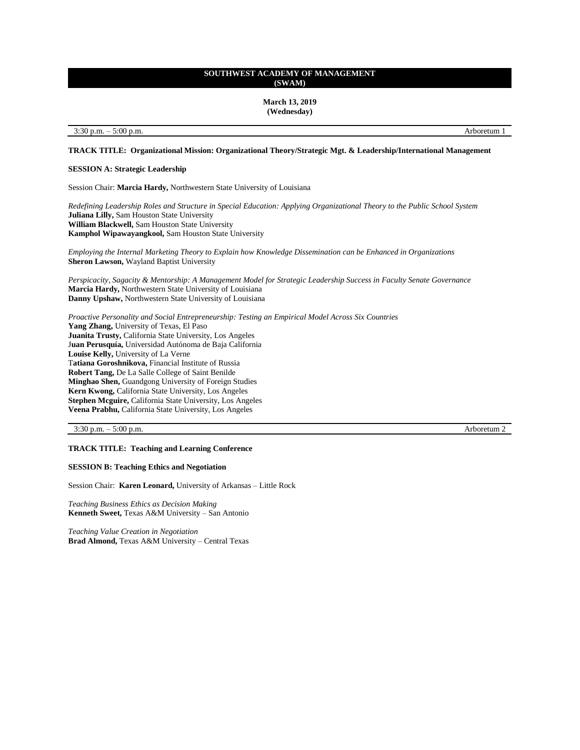**March 13, 2019 (Wednesday)**

### 3:30 p.m. – 5:00 p.m. Arboretum 1

# **TRACK TITLE: Organizational Mission: Organizational Theory/Strategic Mgt. & Leadership/International Management**

#### **SESSION A: Strategic Leadership**

Session Chair: **Marcia Hardy,** Northwestern State University of Louisiana

*Redefining Leadership Roles and Structure in Special Education: Applying Organizational Theory to the Public School System* **Juliana Lilly,** Sam Houston State University **William Blackwell,** Sam Houston State University **Kamphol Wipawayangkool,** Sam Houston State University

*Employing the Internal Marketing Theory to Explain how Knowledge Dissemination can be Enhanced in Organizations*  **Sheron Lawson,** Wayland Baptist University

*Perspicacity, Sagacity & Mentorship: A Management Model for Strategic Leadership Success in Faculty Senate Governance* **Marcia Hardy,** Northwestern State University of Louisiana **Danny Upshaw,** Northwestern State University of Louisiana

*Proactive Personality and Social Entrepreneurship: Testing an Empirical Model Across Six Countries* **Yang Zhang,** University of Texas, El Paso **Juanita Trusty,** California State University, Los Angeles J**uan Perusquía,** Universidad Autónoma de Baja California **Louise Kelly,** University of La Verne T**atiana Goroshnikova,** Financial Institute of Russia **Robert Tang,** De La Salle College of Saint Benilde **Minghao Shen,** Guandgong University of Foreign Studies **Kern Kwong,** California State University, Los Angeles **Stephen Mcguire,** California State University, Los Angeles **Veena Prabhu,** California State University, Los Angeles

3:30 p.m. – 5:00 p.m. Arboretum 2

# **TRACK TITLE: Teaching and Learning Conference**

# **SESSION B: Teaching Ethics and Negotiation**

Session Chair: **Karen Leonard,** University of Arkansas – Little Rock

*Teaching Business Ethics as Decision Making*  **Kenneth Sweet,** Texas A&M University – San Antonio

*Teaching Value Creation in Negotiation* **Brad Almond,** Texas A&M University – Central Texas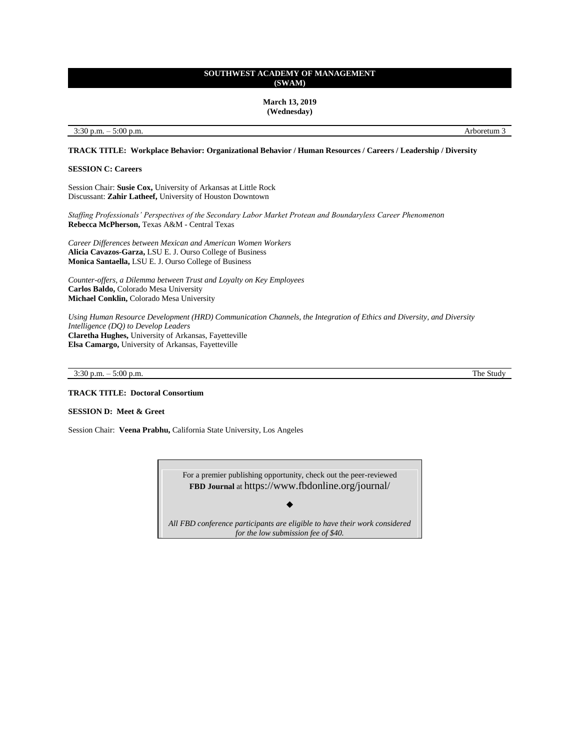**March 13, 2019 (Wednesday)**

3:30 p.m. – 5:00 p.m. Arboretum 3

**TRACK TITLE: Workplace Behavior: Organizational Behavior / Human Resources / Careers / Leadership / Diversity**

**SESSION C: Careers**

Session Chair: **Susie Cox,** University of Arkansas at Little Rock Discussant: **Zahir Latheef,** University of Houston Downtown

*Staffing Professionals' Perspectives of the Secondary Labor Market Protean and Boundaryless Career Phenomenon*  **Rebecca McPherson,** Texas A&M - Central Texas

*Career Differences between Mexican and American Women Workers*  **Alicia Cavazos-Garza,** LSU E. J. Ourso College of Business **Monica Santaella,** LSU E. J. Ourso College of Business

*Counter-offers, a Dilemma between Trust and Loyalty on Key Employees*  **Carlos Baldo,** Colorado Mesa University **Michael Conklin,** Colorado Mesa University

*Using Human Resource Development (HRD) Communication Channels, the Integration of Ethics and Diversity, and Diversity Intelligence (DQ) to Develop Leaders*  **Claretha Hughes,** University of Arkansas, Fayetteville **Elsa Camargo,** University of Arkansas, Fayetteville

3:30 p.m. – 5:00 p.m. The Study

**TRACK TITLE: Doctoral Consortium**

# **SESSION D: Meet & Greet**

Session Chair: **Veena Prabhu,** California State University, Los Angeles

For a premier publishing opportunity, check out the peer-reviewed **FBD Journal** at <https://www.fbdonline.org/journal/> ◆

*All FBD conference participants are eligible to have their work considered for the low submission fee of \$40.*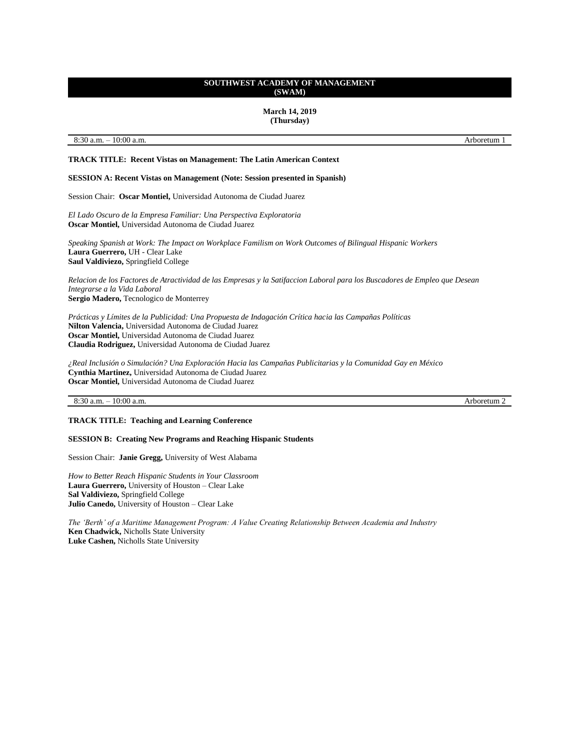**March 14, 2019 (Thursday)**

8:30 a.m. – 10:00 a.m. Arboretum 1

# **TRACK TITLE: Recent Vistas on Management: The Latin American Context**

**SESSION A: Recent Vistas on Management (Note: Session presented in Spanish)**

Session Chair: **Oscar Montiel,** Universidad Autonoma de Ciudad Juarez

*El Lado Oscuro de la Empresa Familiar: Una Perspectiva Exploratoria* **Oscar Montiel,** Universidad Autonoma de Ciudad Juarez

*Speaking Spanish at Work: The Impact on Workplace Familism on Work Outcomes of Bilingual Hispanic Workers* **Laura Guerrero,** UH - Clear Lake **Saul Valdiviezo,** Springfield College

*Relacion de los Factores de Atractividad de las Empresas y la Satifaccion Laboral para los Buscadores de Empleo que Desean Integrarse a la Vida Laboral* **Sergio Madero,** Tecnologico de Monterrey

*Prácticas y Límites de la Publicidad: Una Propuesta de Indagación Crítica hacia las Campañas Políticas* **Nilton Valencia,** Universidad Autonoma de Ciudad Juarez **Oscar Montiel,** Universidad Autonoma de Ciudad Juarez **Claudia Rodriguez,** Universidad Autonoma de Ciudad Juarez

*¿Real Inclusión o Simulación? Una Exploración Hacia las Campañas Publicitarias y la Comunidad Gay en México* **Cynthia Martinez,** Universidad Autonoma de Ciudad Juarez **Oscar Montiel,** Universidad Autonoma de Ciudad Juarez

# 8:30 a.m. – 10:00 a.m. Arboretum 2

# **TRACK TITLE: Teaching and Learning Conference**

#### **SESSION B: Creating New Programs and Reaching Hispanic Students**

Session Chair: **Janie Gregg,** University of West Alabama

*How to Better Reach Hispanic Students in Your Classroom* **Laura Guerrero,** University of Houston – Clear Lake **Sal Valdiviezo,** Springfield College **Julio Canedo,** University of Houston – Clear Lake

*The 'Berth' of a Maritime Management Program: A Value Creating Relationship Between Academia and Industry* **Ken Chadwick,** Nicholls State University **Luke Cashen,** Nicholls State University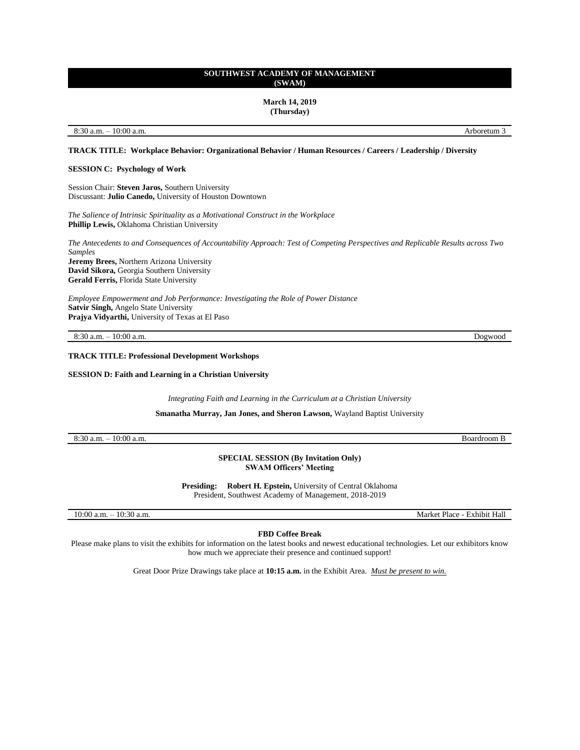**March 14, 2019 (Thursday)**

### 8:30 a.m. – 10:00 a.m. Arboretum 3

# **TRACK TITLE: Workplace Behavior: Organizational Behavior / Human Resources / Careers / Leadership / Diversity**

#### **SESSION C: Psychology of Work**

Session Chair: **Steven Jaros,** Southern University Discussant: **Julio Canedo,** University of Houston Downtown

*The Salience of Intrinsic Spirituality as a Motivational Construct in the Workplace* **Phillip Lewis,** Oklahoma Christian University

*The Antecedents to and Consequences of Accountability Approach: Test of Competing Perspectives and Replicable Results across Two Samples* **Jeremy Brees,** Northern Arizona University **David Sikora,** Georgia Southern University **Gerald Ferris,** Florida State University

*Employee Empowerment and Job Performance: Investigating the Role of Power Distance* **Satvir Singh,** Angelo State University **Prajya Vidyarthi,** University of Texas at El Paso

8:30 a.m. – 10:00 a.m. Dogwood

# **TRACK TITLE: Professional Development Workshops**

**SESSION D: Faith and Learning in a Christian University**

*Integrating Faith and Learning in the Curriculum at a Christian University*

**Smanatha Murray, Jan Jones, and Sheron Lawson,** Wayland Baptist University

8:30 a.m. – 10:00 a.m. Boardroom B

**SPECIAL SESSION (By Invitation Only) SWAM Officers' Meeting**

**Presiding: Robert H. Epstein,** University of Central Oklahoma President, Southwest Academy of Management, 2018-2019

10:00 a.m. – 10:30 a.m. Market Place - Exhibit Hall

**FBD Coffee Break**

Please make plans to visit the exhibits for information on the latest books and newest educational technologies. Let our exhibitors know how much we appreciate their presence and continued support!

Great Door Prize Drawings take place at **10:15 a.m.** in the Exhibit Area. *Must be present to win.*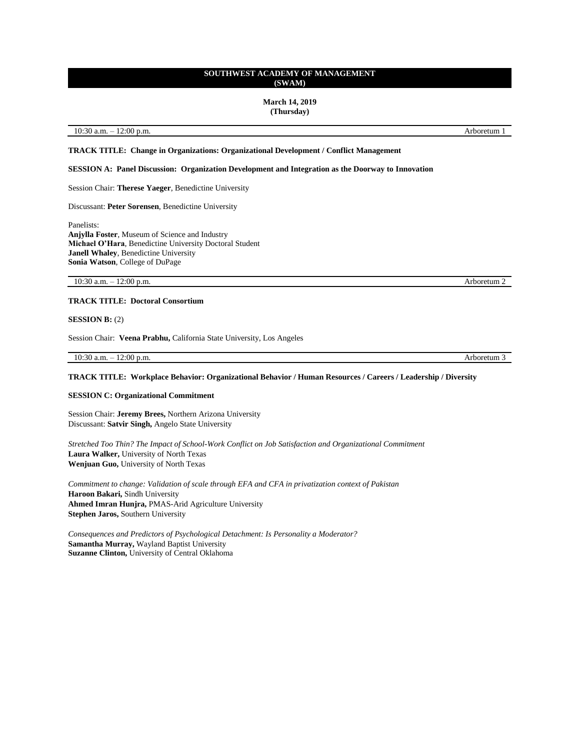#### **March 14, 2019 (Thursday)**

### 10:30 a.m. – 12:00 p.m. Arboretum 1

# **TRACK TITLE: Change in Organizations: Organizational Development / Conflict Management**

#### **SESSION A: Panel Discussion: Organization Development and Integration as the Doorway to Innovation**

# Session Chair: **Therese Yaeger**, Benedictine University

Discussant: **Peter Sorensen**, Benedictine University

Panelists: **Anjylla Foster**, Museum of Science and Industry **Michael O'Hara**, Benedictine University Doctoral Student **Janell Whaley**, Benedictine University **Sonia Watson**, College of DuPage

10:30 a.m. – 12:00 p.m. Arboretum 2

# **TRACK TITLE: Doctoral Consortium**

#### **SESSION B:** (2)

Session Chair: **Veena Prabhu,** California State University, Los Angeles

10:30 a.m. – 12:00 p.m. Arboretum 3

#### **TRACK TITLE: Workplace Behavior: Organizational Behavior / Human Resources / Careers / Leadership / Diversity**

### **SESSION C: Organizational Commitment**

Session Chair: **Jeremy Brees,** Northern Arizona University Discussant: **Satvir Singh,** Angelo State University

*Stretched Too Thin? The Impact of School-Work Conflict on Job Satisfaction and Organizational Commitment* **Laura Walker,** University of North Texas **Wenjuan Guo,** University of North Texas

*Commitment to change: Validation of scale through EFA and CFA in privatization context of Pakistan* **Haroon Bakari,** Sindh University **Ahmed Imran Hunjra,** PMAS-Arid Agriculture University **Stephen Jaros,** Southern University

*Consequences and Predictors of Psychological Detachment: Is Personality a Moderator?* **Samantha Murray,** Wayland Baptist University **Suzanne Clinton,** University of Central Oklahoma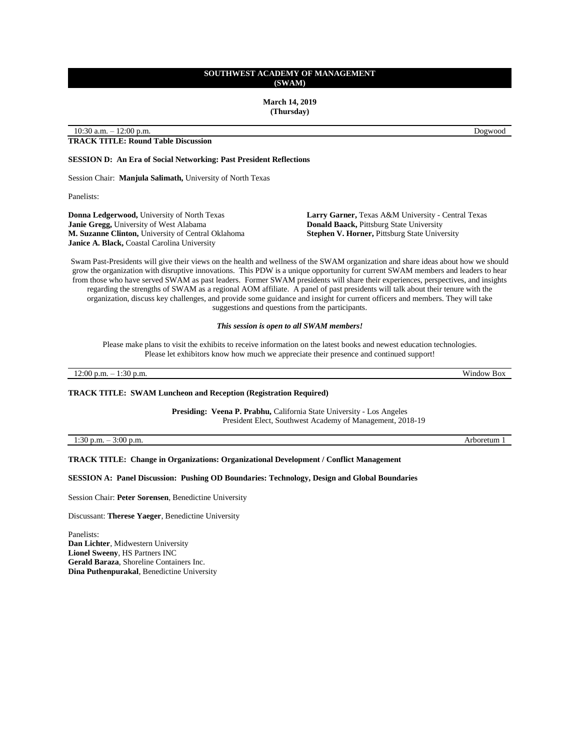**March 14, 2019 (Thursday)**

10:30 a.m. – 12:00 p.m. Dogwood

# **TRACK TITLE: Round Table Discussion**

**SESSION D: An Era of Social Networking: Past President Reflections**

Session Chair: **Manjula Salimath,** University of North Texas

Panelists:

**Donna Ledgerwood,** University of North Texas **Janie Gregg,** University of West Alabama **M. Suzanne Clinton,** University of Central Oklahoma **Janice A. Black,** Coastal Carolina University

**Larry Garner,** Texas A&M University - Central Texas **Donald Baack,** Pittsburg State University **Stephen V. Horner,** Pittsburg State University

Swam Past-Presidents will give their views on the health and wellness of the SWAM organization and share ideas about how we should grow the organization with disruptive innovations. This PDW is a unique opportunity for current SWAM members and leaders to hear from those who have served SWAM as past leaders. Former SWAM presidents will share their experiences, perspectives, and insights regarding the strengths of SWAM as a regional AOM affiliate. A panel of past presidents will talk about their tenure with the organization, discuss key challenges, and provide some guidance and insight for current officers and members. They will take suggestions and questions from the participants.

#### *This session is open to all SWAM members!*

Please make plans to visit the exhibits to receive information on the latest books and newest education technologies. Please let exhibitors know how much we appreciate their presence and continued support!

12:00 p.m. – 1:30 p.m. Window Box

#### **TRACK TITLE: SWAM Luncheon and Reception (Registration Required)**

**Presiding: Veena P. Prabhu,** California State University - Los Angeles President Elect, Southwest Academy of Management, 2018-19

1:30 p.m. – 3:00 p.m. Arboretum 1

**TRACK TITLE: Change in Organizations: Organizational Development / Conflict Management**

**SESSION A: Panel Discussion: Pushing OD Boundaries: Technology, Design and Global Boundaries**

Session Chair: **Peter Sorensen**, Benedictine University

Discussant: **Therese Yaeger**, Benedictine University

Panelists: **Dan Lichter**, Midwestern University **Lionel Sweeny**, HS Partners INC **Gerald Baraza**, Shoreline Containers Inc. **Dina Puthenpurakal**, Benedictine University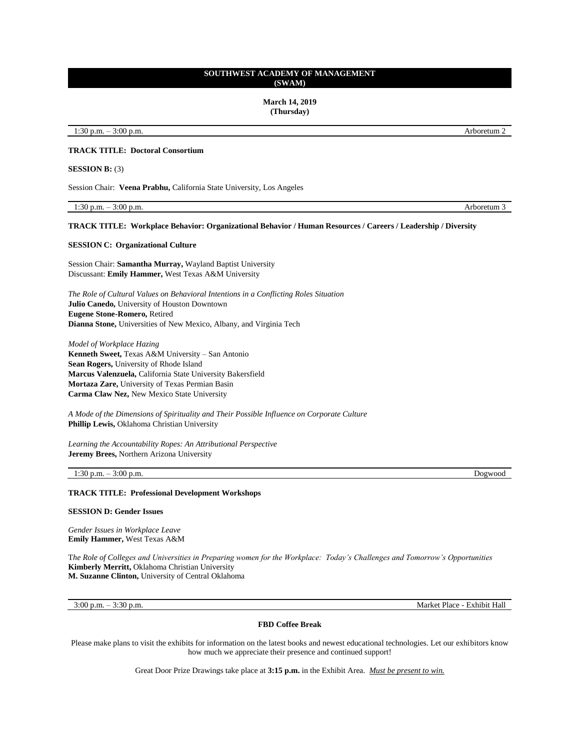**March 14, 2019 (Thursday)**

1:30 p.m. – 3:00 p.m. Arboretum 2

# **TRACK TITLE: Doctoral Consortium**

**SESSION B:** (3)

Session Chair: **Veena Prabhu,** California State University, Los Angeles

1:30 p.m. – 3:00 p.m. Arboretum 3

#### **TRACK TITLE: Workplace Behavior: Organizational Behavior / Human Resources / Careers / Leadership / Diversity**

### **SESSION C: Organizational Culture**

Session Chair: **Samantha Murray,** Wayland Baptist University Discussant: **Emily Hammer,** West Texas A&M University

*The Role of Cultural Values on Behavioral Intentions in a Conflicting Roles Situation* **Julio Canedo,** University of Houston Downtown **Eugene Stone-Romero,** Retired **Dianna Stone,** Universities of New Mexico, Albany, and Virginia Tech

*Model of Workplace Hazing* **Kenneth Sweet,** Texas A&M University – San Antonio **Sean Rogers,** University of Rhode Island **Marcus Valenzuela,** California State University Bakersfield **Mortaza Zare,** University of Texas Permian Basin **Carma Claw Nez,** New Mexico State University

*A Mode of the Dimensions of Spirituality and Their Possible Influence on Corporate Culture*  **Phillip Lewis,** Oklahoma Christian University

*Learning the Accountability Ropes: An Attributional Perspective*  **Jeremy Brees,** Northern Arizona University

### 1:30 p.m. – 3:00 p.m. Dogwood

# **TRACK TITLE: Professional Development Workshops**

#### **SESSION D: Gender Issues**

*Gender Issues in Workplace Leave* **Emily Hammer,** West Texas A&M

T*he Role of Colleges and Universities in Preparing women for the Workplace: Today's Challenges and Tomorrow's Opportunities* **Kimberly Merritt,** Oklahoma Christian University **M. Suzanne Clinton,** University of Central Oklahoma

3:00 p.m. – 3:30 p.m. Market Place - Exhibit Hall

#### **FBD Coffee Break**

Please make plans to visit the exhibits for information on the latest books and newest educational technologies. Let our exhibitors know how much we appreciate their presence and continued support!

Great Door Prize Drawings take place at **3:15 p.m.** in the Exhibit Area. *Must be present to win.*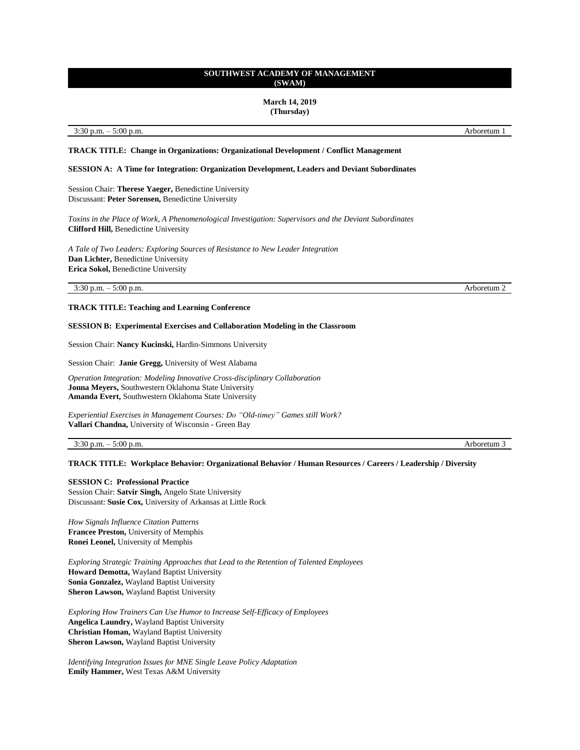#### **March 14, 2019 (Thursday)**

#### 3:30 p.m. – 5:00 p.m. Arboretum 1

# **TRACK TITLE: Change in Organizations: Organizational Development / Conflict Management**

# **SESSION A: A Time for Integration: Organization Development, Leaders and Deviant Subordinates**

Session Chair: **Therese Yaeger,** Benedictine University Discussant: **Peter Sorensen,** Benedictine University

*Toxins in the Place of Work, A Phenomenological Investigation: Supervisors and the Deviant Subordinates* **Clifford Hill,** Benedictine University

*A Tale of Two Leaders: Exploring Sources of Resistance to New Leader Integration* **Dan Lichter,** Benedictine University **Erica Sokol,** Benedictine University

3:30 p.m. – 5:00 p.m. Arboretum 2

**TRACK TITLE: Teaching and Learning Conference**

### **SESSION B: Experimental Exercises and Collaboration Modeling in the Classroom**

Session Chair: **Nancy Kucinski,** Hardin-Simmons University

Session Chair: **Janie Gregg,** University of West Alabama

*Operation Integration: Modeling Innovative Cross-disciplinary Collaboration* **Jonna Meyers,** Southwestern Oklahoma State University **Amanda Evert,** Southwestern Oklahoma State University

*Experiential Exercises in Management Courses: Do "Old-timey" Games still Work?* **Vallari Chandna,** University of Wisconsin - Green Bay

3:30 p.m. – 5:00 p.m. Arboretum 3

# **TRACK TITLE: Workplace Behavior: Organizational Behavior / Human Resources / Careers / Leadership / Diversity**

#### **SESSION C: Professional Practice**

Session Chair: **Satvir Singh,** Angelo State University Discussant: **Susie Cox,** University of Arkansas at Little Rock

*How Signals Influence Citation Patterns* **Francee Preston,** University of Memphis **Ronei Leonel,** University of Memphis

*Exploring Strategic Training Approaches that Lead to the Retention of Talented Employees* **Howard Demotta,** Wayland Baptist University **Sonia Gonzalez,** Wayland Baptist University **Sheron Lawson,** Wayland Baptist University

*Exploring How Trainers Can Use Humor to Increase Self-Efficacy of Employees* **Angelica Laundry,** Wayland Baptist University **Christian Homan,** Wayland Baptist University **Sheron Lawson,** Wayland Baptist University

*Identifying Integration Issues for MNE Single Leave Policy Adaptation*  **Emily Hammer,** West Texas A&M University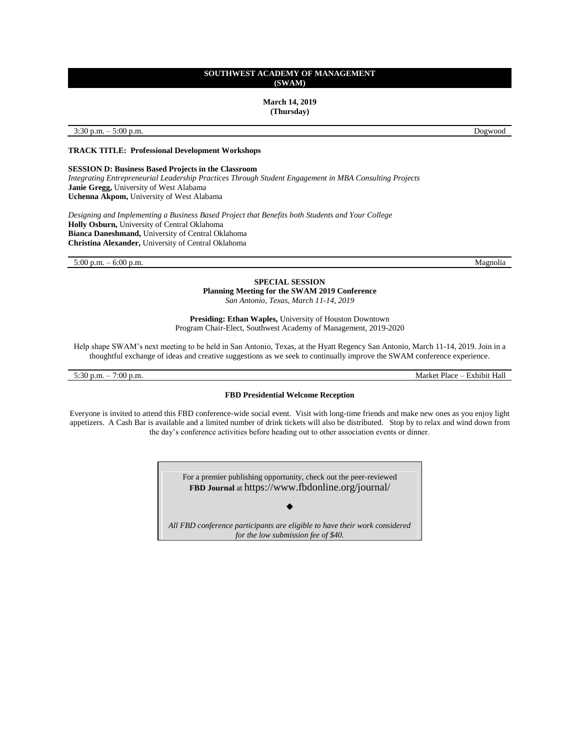**March 14, 2019 (Thursday)**

3:30 p.m. – 5:00 p.m. Dogwood

**TRACK TITLE: Professional Development Workshops**

### **SESSION D: Business Based Projects in the Classroom**

*Integrating Entrepreneurial Leadership Practices Through Student Engagement in MBA Consulting Projects*  **Janie Gregg,** University of West Alabama **Uchenna Akpom,** University of West Alabama

*Designing and Implementing a Business Based Project that Benefits both Students and Your College*  **Holly Osburn,** University of Central Oklahoma **Bianca Daneshmand,** University of Central Oklahoma **Christina Alexander,** University of Central Oklahoma

5:00 p.m. – 6:00 p.m. Magnolia

**SPECIAL SESSION Planning Meeting for the SWAM 2019 Conference** *San Antonio, Texas, March 11-14, 2019*

**Presiding: Ethan Waples,** University of Houston Downtown Program Chair-Elect, Southwest Academy of Management, 2019-2020

Help shape SWAM's next meeting to be held in San Antonio, Texas, at the Hyatt Regency San Antonio, March 11-14, 2019. Join in a thoughtful exchange of ideas and creative suggestions as we seek to continually improve the SWAM conference experience.

5:30 p.m. – 7:00 p.m. Market Place – Exhibit Hall

# **FBD Presidential Welcome Reception**

Everyone is invited to attend this FBD conference-wide social event. Visit with long-time friends and make new ones as you enjoy light appetizers. A Cash Bar is available and a limited number of drink tickets will also be distributed. Stop by to relax and wind down from the day's conference activities before heading out to other association events or dinner.

> For a premier publishing opportunity, check out the peer-reviewed **FBD Journal** at <https://www.fbdonline.org/journal/>

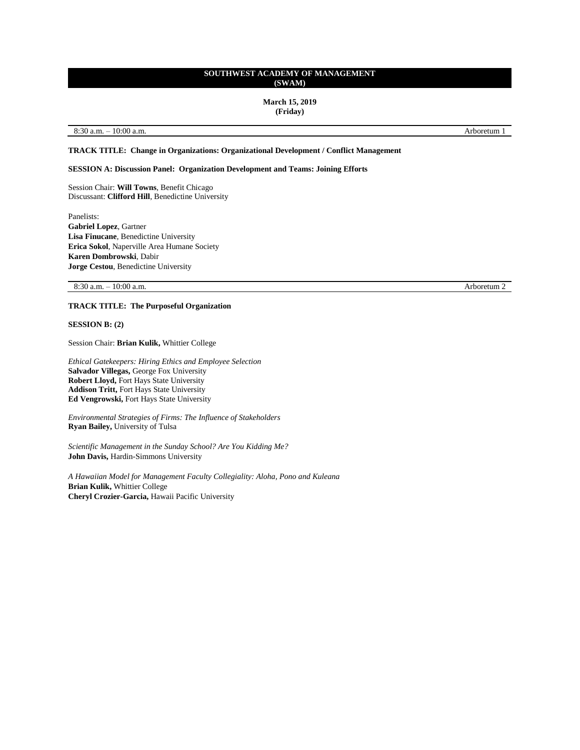### **March 15, 2019 (Friday)**

### 8:30 a.m. – 10:00 a.m. Arboretum 1

# **TRACK TITLE: Change in Organizations: Organizational Development / Conflict Management**

### **SESSION A: Discussion Panel: Organization Development and Teams: Joining Efforts**

Session Chair: **Will Towns**, Benefit Chicago Discussant: **Clifford Hill**, Benedictine University

Panelists: **Gabriel Lopez**, Gartner **Lisa Finucane**, Benedictine University **Erica Sokol**, Naperville Area Humane Society **Karen Dombrowski**, Dabir **Jorge Cestou**, Benedictine University

8:30 a.m. – 10:00 a.m. Arboretum 2

# **TRACK TITLE: The Purposeful Organization**

**SESSION B: (2)**

Session Chair: **Brian Kulik,** Whittier College

*Ethical Gatekeepers: Hiring Ethics and Employee Selection* **Salvador Villegas,** George Fox University **Robert Lloyd,** Fort Hays State University **Addison Tritt,** Fort Hays State University **Ed Vengrowski,** Fort Hays State University

*Environmental Strategies of Firms: The Influence of Stakeholders* **Ryan Bailey,** University of Tulsa

*Scientific Management in the Sunday School? Are You Kidding Me?* **John Davis,** Hardin-Simmons University

*A Hawaiian Model for Management Faculty Collegiality: Aloha, Pono and Kuleana* **Brian Kulik,** Whittier College **Cheryl Crozier-Garcia,** Hawaii Pacific University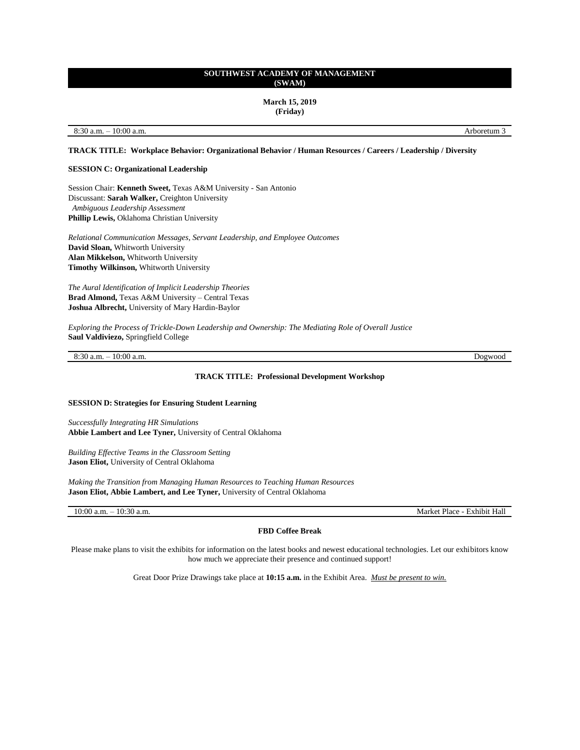**March 15, 2019 (Friday)**

8:30 a.m. – 10:00 a.m. **Arboretum 3** 

# **TRACK TITLE: Workplace Behavior: Organizational Behavior / Human Resources / Careers / Leadership / Diversity**

### **SESSION C: Organizational Leadership**

Session Chair: **Kenneth Sweet,** Texas A&M University - San Antonio Discussant: **Sarah Walker,** Creighton University *Ambiguous Leadership Assessment* **Phillip Lewis,** Oklahoma Christian University

*Relational Communication Messages, Servant Leadership, and Employee Outcomes* **David Sloan,** Whitworth University **Alan Mikkelson,** Whitworth University **Timothy Wilkinson,** Whitworth University

*The Aural Identification of Implicit Leadership Theories* **Brad Almond,** Texas A&M University – Central Texas **Joshua Albrecht,** University of Mary Hardin-Baylor

*Exploring the Process of Trickle-Down Leadership and Ownership: The Mediating Role of Overall Justice* **Saul Valdiviezo,** Springfield College

8:30 a.m. – 10:00 a.m. Dogwood

### **TRACK TITLE: Professional Development Workshop**

#### **SESSION D: Strategies for Ensuring Student Learning**

*Successfully Integrating HR Simulations* **Abbie Lambert and Lee Tyner,** University of Central Oklahoma

*Building Effective Teams in the Classroom Setting* **Jason Eliot,** University of Central Oklahoma

*Making the Transition from Managing Human Resources to Teaching Human Resources* **Jason Eliot, Abbie Lambert, and Lee Tyner,** University of Central Oklahoma

10:00 a.m. – 10:30 a.m. Market Place - Exhibit Hall

# **FBD Coffee Break**

Please make plans to visit the exhibits for information on the latest books and newest educational technologies. Let our exhibitors know how much we appreciate their presence and continued support!

Great Door Prize Drawings take place at **10:15 a.m.** in the Exhibit Area. *Must be present to win.*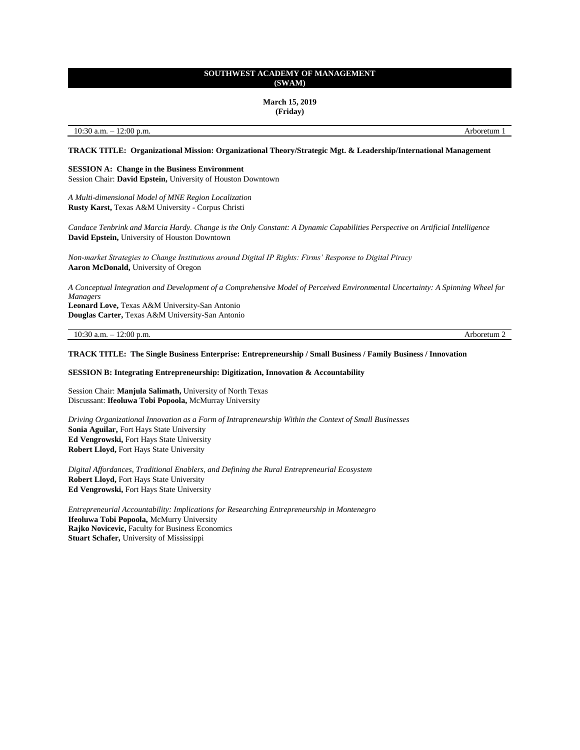**March 15, 2019 (Friday)**

10:30 a.m. – 12:00 p.m. Arboretum 1

**TRACK TITLE: Organizational Mission: Organizational Theory/Strategic Mgt. & Leadership/International Management** 

# **SESSION A: Change in the Business Environment**

Session Chair: **David Epstein,** University of Houston Downtown

*A Multi-dimensional Model of MNE Region Localization*  **Rusty Karst,** Texas A&M University - Corpus Christi

*Candace Tenbrink and Marcia Hardy. Change is the Only Constant: A Dynamic Capabilities Perspective on Artificial Intelligence* **David Epstein,** University of Houston Downtown

*Non-market Strategies to Change Institutions around Digital IP Rights: Firms' Response to Digital Piracy*  **Aaron McDonald,** University of Oregon

*A Conceptual Integration and Development of a Comprehensive Model of Perceived Environmental Uncertainty: A Spinning Wheel for Managers* **Leonard Love,** Texas A&M University-San Antonio **Douglas Carter,** Texas A&M University-San Antonio

10:30 a.m. – 12:00 p.m. Arboretum 2

# **TRACK TITLE: The Single Business Enterprise: Entrepreneurship / Small Business / Family Business / Innovation**

#### **SESSION B: Integrating Entrepreneurship: Digitization, Innovation & Accountability**

Session Chair: **Manjula Salimath,** University of North Texas Discussant: **Ifeoluwa Tobi Popoola,** McMurray University

*Driving Organizational Innovation as a Form of Intrapreneurship Within the Context of Small Businesses*  **Sonia Aguilar,** Fort Hays State University **Ed Vengrowski,** Fort Hays State University **Robert Lloyd,** Fort Hays State University

*Digital Affordances, Traditional Enablers, and Defining the Rural Entrepreneurial Ecosystem* **Robert Lloyd,** Fort Hays State University **Ed Vengrowski,** Fort Hays State University

*Entrepreneurial Accountability: Implications for Researching Entrepreneurship in Montenegro*  **Ifeoluwa Tobi Popoola,** McMurry University **Rajko Novicevic,** Faculty for Business Economics **Stuart Schafer,** University of Mississippi